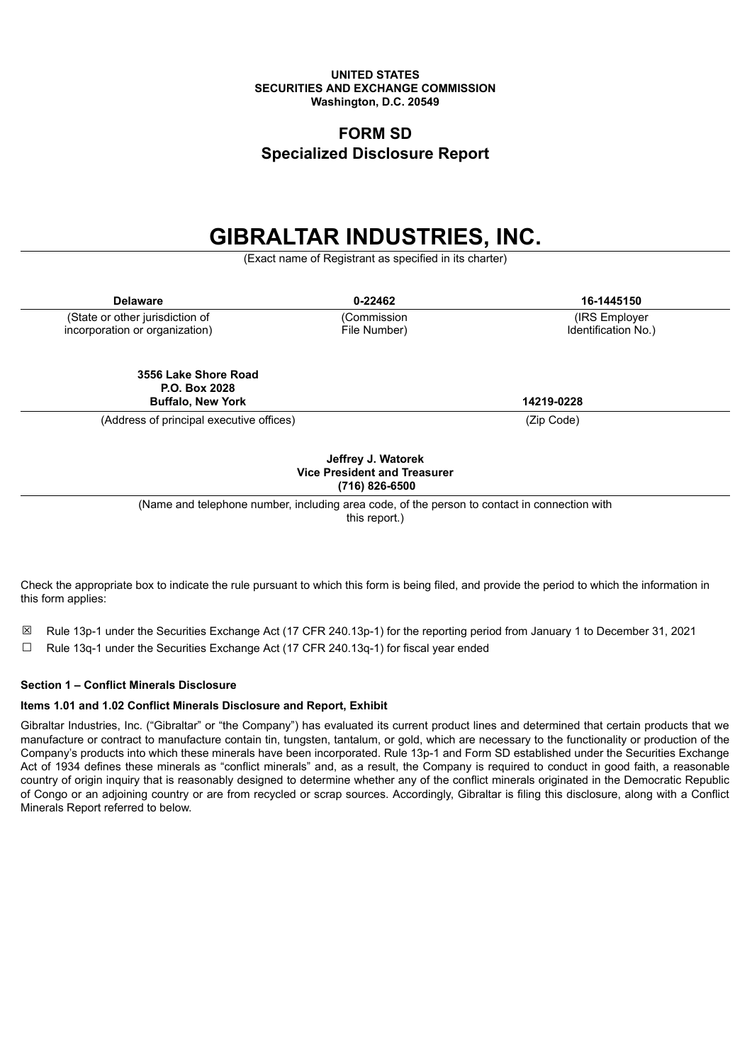#### **UNITED STATES SECURITIES AND EXCHANGE COMMISSION Washington, D.C. 20549**

### **FORM SD Specialized Disclosure Report**

# **GIBRALTAR INDUSTRIES, INC.**

(Exact name of Registrant as specified in its charter)

| <b>Delaware</b>                                                   | 0-22462                     | 16-1445150                           |
|-------------------------------------------------------------------|-----------------------------|--------------------------------------|
| (State or other jurisdiction of<br>incorporation or organization) | (Commission<br>File Number) | (IRS Employer<br>Identification No.) |
| 3556 Lake Shore Road<br>P.O. Box 2028<br><b>Buffalo, New York</b> |                             | 14219-0228                           |
| (Address of principal executive offices)                          |                             | (Zip Code)                           |
| Jeffrey J. Watorek                                                |                             |                                      |

## **Vice President and Treasurer (716) 826-6500**

(Name and telephone number, including area code, of the person to contact in connection with

this report.)

Check the appropriate box to indicate the rule pursuant to which this form is being filed, and provide the period to which the information in this form applies:

- ☒ Rule 13p-1 under the Securities Exchange Act (17 CFR 240.13p-1) for the reporting period from January 1 to December 31, 2021
- $\Box$  Rule 13q-1 under the Securities Exchange Act (17 CFR 240.13q-1) for fiscal year ended

#### **Section 1 – Conflict Minerals Disclosure**

#### **Items 1.01 and 1.02 Conflict Minerals Disclosure and Report, Exhibit**

Gibraltar Industries, Inc. ("Gibraltar" or "the Company") has evaluated its current product lines and determined that certain products that we manufacture or contract to manufacture contain tin, tungsten, tantalum, or gold, which are necessary to the functionality or production of the Company's products into which these minerals have been incorporated. Rule 13p-1 and Form SD established under the Securities Exchange Act of 1934 defines these minerals as "conflict minerals" and, as a result, the Company is required to conduct in good faith, a reasonable country of origin inquiry that is reasonably designed to determine whether any of the conflict minerals originated in the Democratic Republic of Congo or an adjoining country or are from recycled or scrap sources. Accordingly, Gibraltar is filing this disclosure, along with a Conflict Minerals Report referred to below.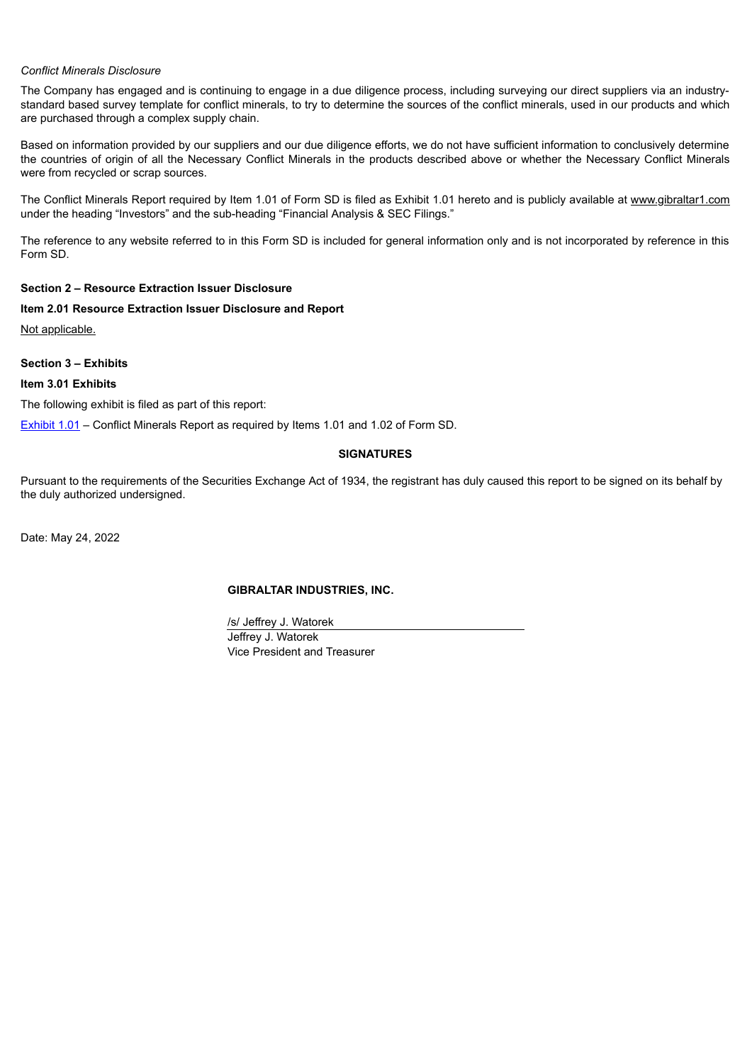#### *Conflict Minerals Disclosure*

The Company has engaged and is continuing to engage in a due diligence process, including surveying our direct suppliers via an industrystandard based survey template for conflict minerals, to try to determine the sources of the conflict minerals, used in our products and which are purchased through a complex supply chain.

Based on information provided by our suppliers and our due diligence efforts, we do not have sufficient information to conclusively determine the countries of origin of all the Necessary Conflict Minerals in the products described above or whether the Necessary Conflict Minerals were from recycled or scrap sources.

The Conflict Minerals Report required by Item 1.01 of Form SD is filed as Exhibit 1.01 hereto and is publicly available at www.gibraltar1.com under the heading "Investors" and the sub-heading "Financial Analysis & SEC Filings."

The reference to any website referred to in this Form SD is included for general information only and is not incorporated by reference in this Form SD.

#### **Section 2 – Resource Extraction Issuer Disclosure**

**Item 2.01 Resource Extraction Issuer Disclosure and Report**

Not applicable.

**Section 3 – Exhibits**

**Item 3.01 Exhibits**

The following exhibit is filed as part of this report:

[Exhibit](#page-2-0) 1.01 – Conflict Minerals Report as required by Items 1.01 and 1.02 of Form SD.

#### **SIGNATURES**

Pursuant to the requirements of the Securities Exchange Act of 1934, the registrant has duly caused this report to be signed on its behalf by the duly authorized undersigned.

Date: May 24, 2022

#### **GIBRALTAR INDUSTRIES, INC.**

/s/ Jeffrey J. Watorek Jeffrey J. Watorek Vice President and Treasurer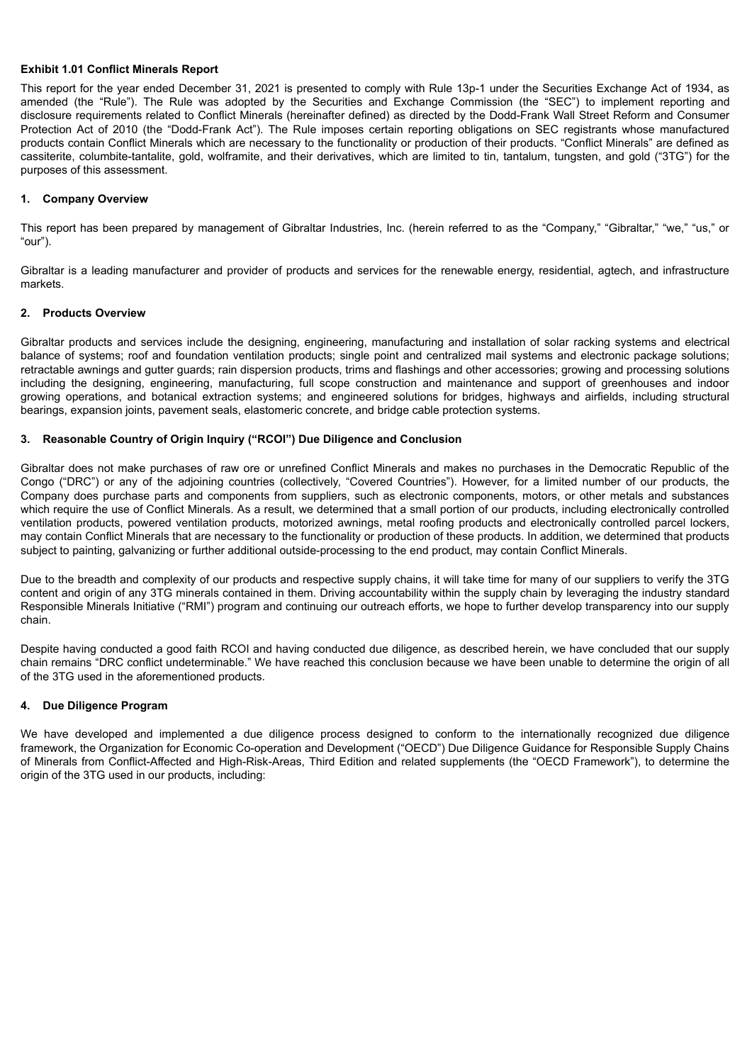#### <span id="page-2-0"></span>**Exhibit 1.01 Conflict Minerals Report**

This report for the year ended December 31, 2021 is presented to comply with Rule 13p-1 under the Securities Exchange Act of 1934, as amended (the "Rule"). The Rule was adopted by the Securities and Exchange Commission (the "SEC") to implement reporting and disclosure requirements related to Conflict Minerals (hereinafter defined) as directed by the Dodd-Frank Wall Street Reform and Consumer Protection Act of 2010 (the "Dodd-Frank Act"). The Rule imposes certain reporting obligations on SEC registrants whose manufactured products contain Conflict Minerals which are necessary to the functionality or production of their products. "Conflict Minerals" are defined as cassiterite, columbite-tantalite, gold, wolframite, and their derivatives, which are limited to tin, tantalum, tungsten, and gold ("3TG") for the purposes of this assessment.

#### **1. Company Overview**

This report has been prepared by management of Gibraltar Industries, Inc. (herein referred to as the "Company," "Gibraltar," "we," "us," or "our").

Gibraltar is a leading manufacturer and provider of products and services for the renewable energy, residential, agtech, and infrastructure markets.

#### **2. Products Overview**

Gibraltar products and services include the designing, engineering, manufacturing and installation of solar racking systems and electrical balance of systems; roof and foundation ventilation products; single point and centralized mail systems and electronic package solutions; retractable awnings and gutter guards; rain dispersion products, trims and flashings and other accessories; growing and processing solutions including the designing, engineering, manufacturing, full scope construction and maintenance and support of greenhouses and indoor growing operations, and botanical extraction systems; and engineered solutions for bridges, highways and airfields, including structural bearings, expansion joints, pavement seals, elastomeric concrete, and bridge cable protection systems.

#### **3. Reasonable Country of Origin Inquiry ("RCOI") Due Diligence and Conclusion**

Gibraltar does not make purchases of raw ore or unrefined Conflict Minerals and makes no purchases in the Democratic Republic of the Congo ("DRC") or any of the adjoining countries (collectively, "Covered Countries"). However, for a limited number of our products, the Company does purchase parts and components from suppliers, such as electronic components, motors, or other metals and substances which require the use of Conflict Minerals. As a result, we determined that a small portion of our products, including electronically controlled ventilation products, powered ventilation products, motorized awnings, metal roofing products and electronically controlled parcel lockers, may contain Conflict Minerals that are necessary to the functionality or production of these products. In addition, we determined that products subject to painting, galvanizing or further additional outside-processing to the end product, may contain Conflict Minerals.

Due to the breadth and complexity of our products and respective supply chains, it will take time for many of our suppliers to verify the 3TG content and origin of any 3TG minerals contained in them. Driving accountability within the supply chain by leveraging the industry standard Responsible Minerals Initiative ("RMI") program and continuing our outreach efforts, we hope to further develop transparency into our supply chain.

Despite having conducted a good faith RCOI and having conducted due diligence, as described herein, we have concluded that our supply chain remains "DRC conflict undeterminable." We have reached this conclusion because we have been unable to determine the origin of all of the 3TG used in the aforementioned products.

#### **4. Due Diligence Program**

We have developed and implemented a due diligence process designed to conform to the internationally recognized due diligence framework, the Organization for Economic Co-operation and Development ("OECD") Due Diligence Guidance for Responsible Supply Chains of Minerals from Conflict-Affected and High-Risk-Areas, Third Edition and related supplements (the "OECD Framework"), to determine the origin of the 3TG used in our products, including: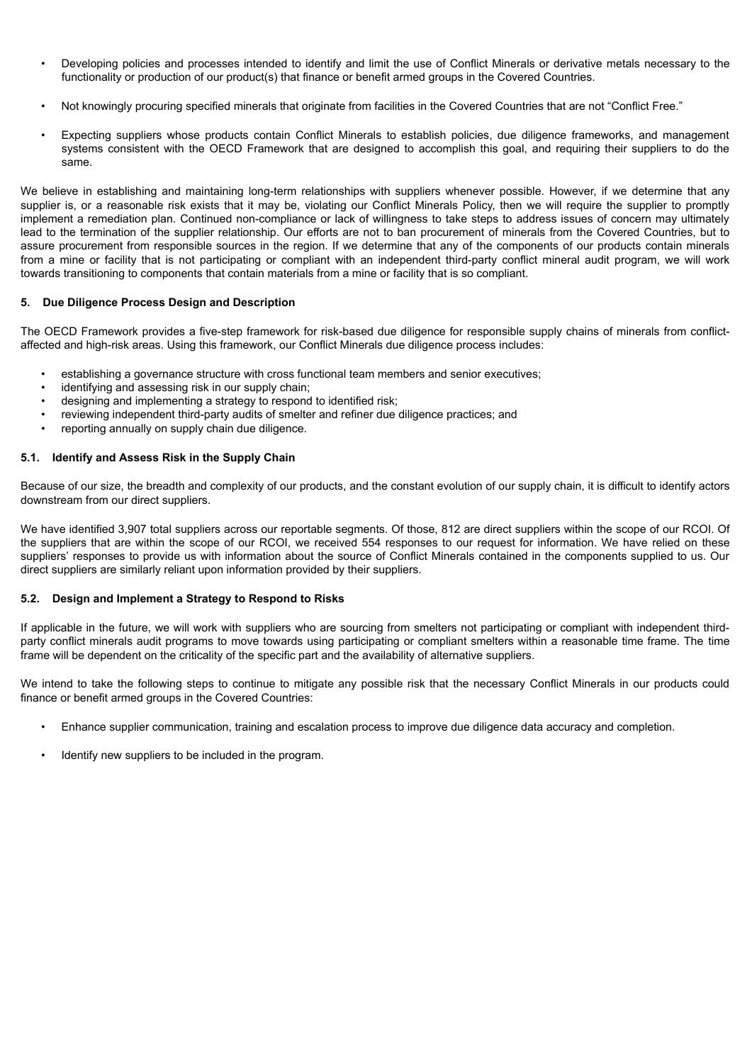- Developing policies and processes intended to identify and limit the use of Conflict Minerals or derivative metals necessary to the functionality or production of our product(s) that finance or benefit armed groups in the Covered Countries.
- Not knowingly procuring specified minerals that originate from facilities in the Covered Countries that are not "Conflict Free."
- Expecting suppliers whose products contain Conflict Minerals to establish policies, due diligence frameworks, and management systems consistent with the OECD Framework that are designed to accomplish this goal, and requiring their suppliers to do the same.

We believe in establishing and maintaining long-term relationships with suppliers whenever possible. However, if we determine that any supplier is, or a reasonable risk exists that it may be, violating our Conflict Minerals Policy, then we will require the supplier to promptly implement a remediation plan. Continued non-compliance or lack of willingness to take steps to address issues of concern may ultimately lead to the termination of the supplier relationship. Our efforts are not to ban procurement of minerals from the Covered Countries, but to assure procurement from responsible sources in the region. If we determine that any of the components of our products contain minerals from a mine or facility that is not participating or compliant with an independent third-party conflict mineral audit program, we will work towards transitioning to components that contain materials from a mine or facility that is so compliant.

#### **5. Due Diligence Process Design and Description**

The OECD Framework provides a five-step framework for risk-based due diligence for responsible supply chains of minerals from conflictaffected and high-risk areas. Using this framework, our Conflict Minerals due diligence process includes:

- establishing a governance structure with cross functional team members and senior executives;
- identifying and assessing risk in our supply chain;
- designing and implementing a strategy to respond to identified risk;
- reviewing independent third-party audits of smelter and refiner due diligence practices; and
- reporting annually on supply chain due diligence.

#### **5.1. Identify and Assess Risk in the Supply Chain**

Because of our size, the breadth and complexity of our products, and the constant evolution of our supply chain, it is difficult to identify actors downstream from our direct suppliers.

We have identified 3,907 total suppliers across our reportable segments. Of those, 812 are direct suppliers within the scope of our RCOI. Of the suppliers that are within the scope of our RCOI, we received 554 responses to our request for information. We have relied on these suppliers' responses to provide us with information about the source of Conflict Minerals contained in the components supplied to us. Our direct suppliers are similarly reliant upon information provided by their suppliers.

#### **5.2. Design and Implement a Strategy to Respond to Risks**

If applicable in the future, we will work with suppliers who are sourcing from smelters not participating or compliant with independent thirdparty conflict minerals audit programs to move towards using participating or compliant smelters within a reasonable time frame. The time frame will be dependent on the criticality of the specific part and the availability of alternative suppliers.

We intend to take the following steps to continue to mitigate any possible risk that the necessary Conflict Minerals in our products could finance or benefit armed groups in the Covered Countries:

- Enhance supplier communication, training and escalation process to improve due diligence data accuracy and completion.
- Identify new suppliers to be included in the program.